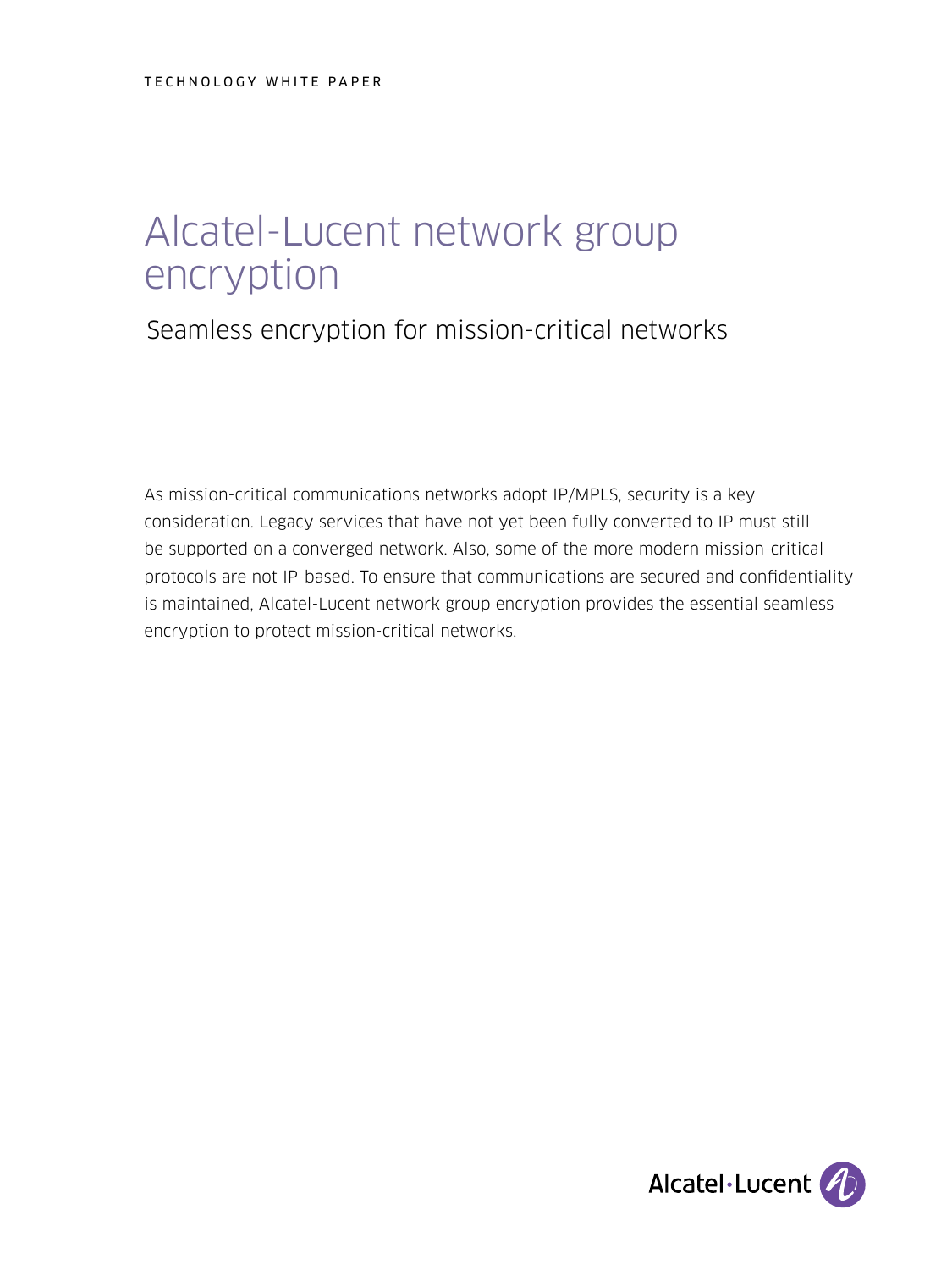# Alcatel-Lucent network group encryption

Seamless encryption for mission-critical networks

As mission-critical communications networks adopt IP/MPLS, security is a key consideration. Legacy services that have not yet been fully converted to IP must still be supported on a converged network. Also, some of the more modern mission-critical protocols are not IP-based. To ensure that communications are secured and confidentiality is maintained, Alcatel-Lucent network group encryption provides the essential seamless encryption to protect mission-critical networks.

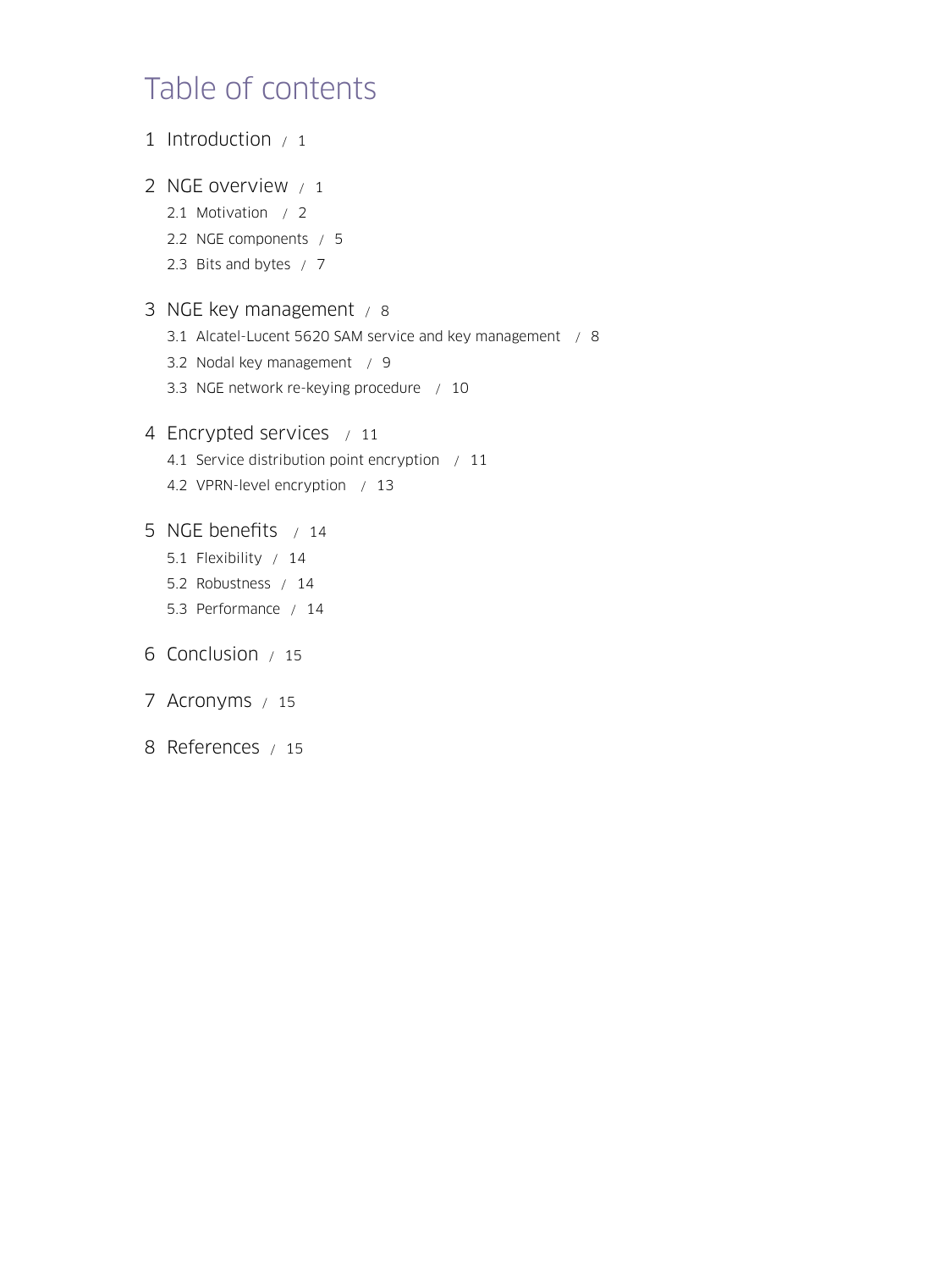# Table of contents

```
1 Introduction / 1
2 NGE overview / 1
  2.1 Motivation / 2
  2.2 NGE components / 5
  2.3 Bits and bytes / 7
3 NGE key management / 8
  3.1 Alcatel-Lucent 5620 SAM service and key management / 8
  3.2 Nodal key management / 9
  3.3 NGE network re-keying procedure / 10
4 Encrypted services / 11
  4.1 Service distribution point encryption / 11
  4.2 VPRN-level encryption / 13
5 NGE benefits / 14
  5.1 Flexibility / 14
  5.2 Robustness / 14
  5.3 Performance / 14
6 Conclusion / 15
7 Acronyms / 15
```
[8 References / 15](#page-16-0)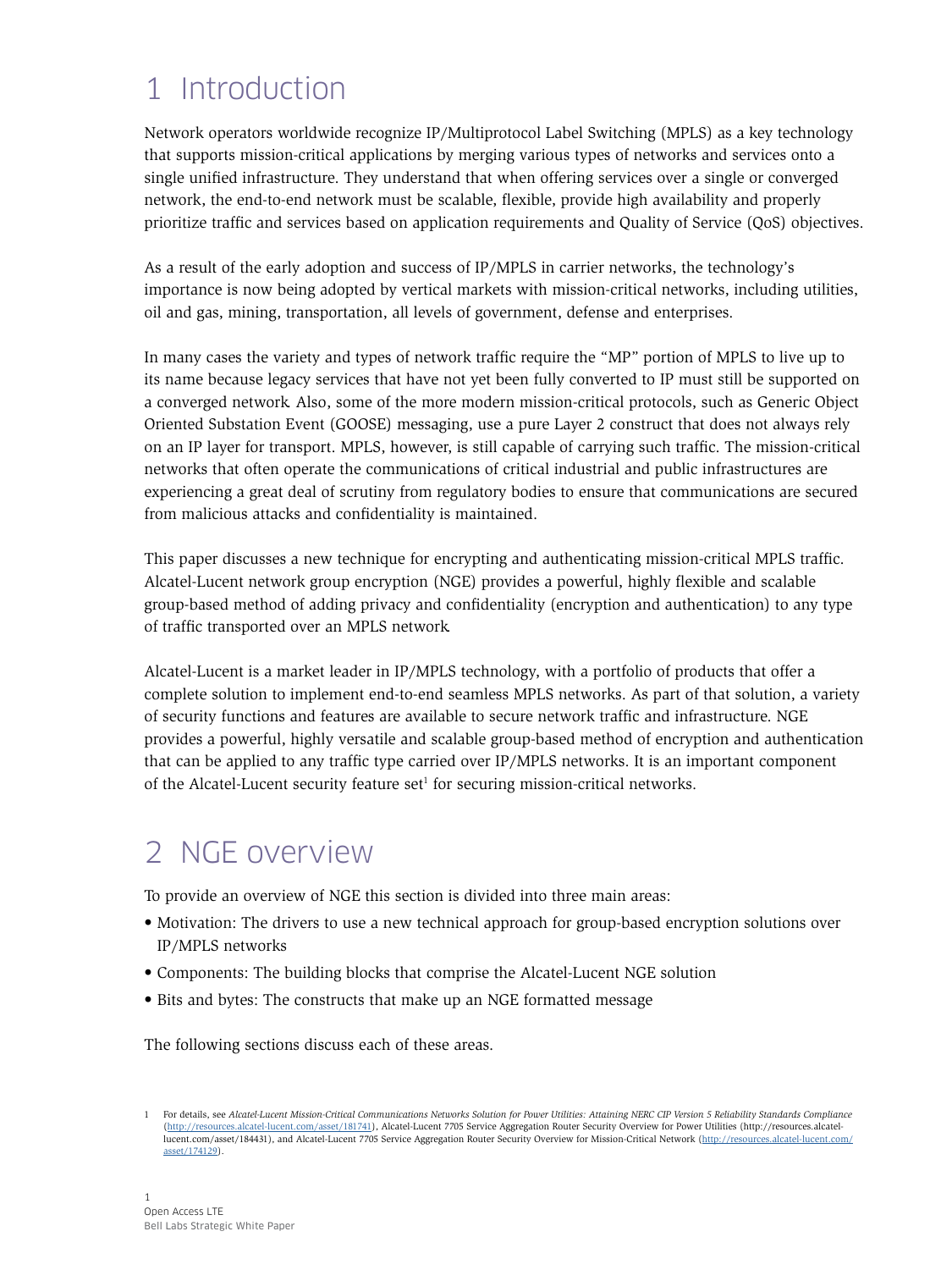# <span id="page-2-0"></span>1 Introduction

Network operators worldwide recognize IP/Multiprotocol Label Switching (MPLS) as a key technology that supports mission-critical applications by merging various types of networks and services onto a single unified infrastructure. They understand that when offering services over a single or converged network, the end-to-end network must be scalable, flexible, provide high availability and properly prioritize traffic and services based on application requirements and Quality of Service (QoS) objectives.

As a result of the early adoption and success of IP/MPLS in carrier networks, the technology's importance is now being adopted by vertical markets with mission-critical networks, including utilities, oil and gas, mining, transportation, all levels of government, defense and enterprises.

In many cases the variety and types of network traffic require the "MP" portion of MPLS to live up to its name because legacy services that have not yet been fully converted to IP must still be supported on a converged network. Also, some of the more modern mission-critical protocols, such as Generic Object Oriented Substation Event (GOOSE) messaging, use a pure Layer 2 construct that does not always rely on an IP layer for transport. MPLS, however, is still capable of carrying such traffic. The mission-critical networks that often operate the communications of critical industrial and public infrastructures are experiencing a great deal of scrutiny from regulatory bodies to ensure that communications are secured from malicious attacks and confidentiality is maintained.

This paper discusses a new technique for encrypting and authenticating mission-critical MPLS traffic. Alcatel-Lucent network group encryption (NGE) provides a powerful, highly flexible and scalable group-based method of adding privacy and confidentiality (encryption and authentication) to any type of traffic transported over an MPLS network.

Alcatel-Lucent is a market leader in IP/MPLS technology, with a portfolio of products that offer a complete solution to implement end-to-end seamless MPLS networks. As part of that solution, a variety of security functions and features are available to secure network traffic and infrastructure. NGE provides a powerful, highly versatile and scalable group-based method of encryption and authentication that can be applied to any traffic type carried over IP/MPLS networks. It is an important component of the Alcatel-Lucent security feature set<sup>1</sup> for securing mission-critical networks.

# 2 NGE overview

To provide an overview of NGE this section is divided into three main areas:

- Motivation: The drivers to use a new technical approach for group-based encryption solutions over IP/MPLS networks
- Components: The building blocks that comprise the Alcatel-Lucent NGE solution
- Bits and bytes: The constructs that make up an NGE formatted message

The following sections discuss each of these areas.

<sup>1</sup> For details, see *Alcatel-Lucent Mission-Critical Communications Networks Solution for Power Utilities: Attaining NERC CIP Version 5 Reliability Standards Compliance* [\(http://resources.alcatel-lucent.com/asset/181741\)](http://resources.alcatel-lucent.com/asset/181741), Alcatel-Lucent 7705 Service Aggregation Router Security Overview for Power Utilities (http://resources.alcatellucent.com/asset/184431), and Alcatel-Lucent 7705 Service Aggregation Router Security Overview for Mission-Critical Network (http://res [asset/174129\)](http://resources.alcatel-lucent.com/asset/174129).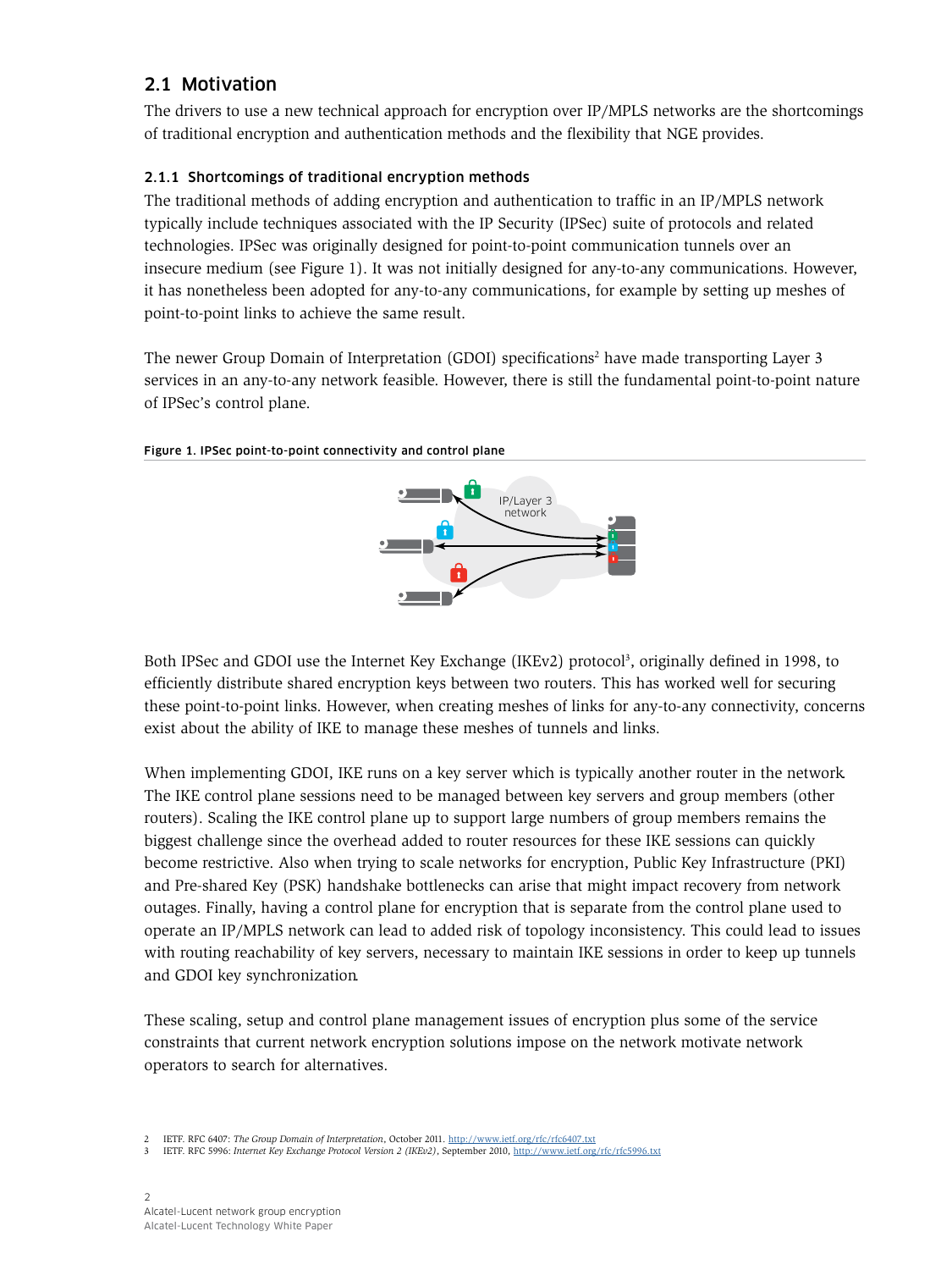## <span id="page-3-0"></span>2.1 Motivation

The drivers to use a new technical approach for encryption over IP/MPLS networks are the shortcomings of traditional encryption and authentication methods and the flexibility that NGE provides.

### 2.1.1 Shortcomings of traditional encryption methods

The traditional methods of adding encryption and authentication to traffic in an IP/MPLS network typically include techniques associated with the IP Security (IPSec) suite of protocols and related technologies. IPSec was originally designed for point-to-point communication tunnels over an insecure medium (see Figure 1). It was not initially designed for any-to-any communications. However, it has nonetheless been adopted for any-to-any communications, for example by setting up meshes of point-to-point links to achieve the same result.

The newer Group Domain of Interpretation (GDOI) specifications<sup>2</sup> have made transporting Layer 3 services in an any-to-any network feasible. However, there is still the fundamental point-to-point nature of IPSec's control plane.





Both IPSec and GDOI use the Internet Key Exchange (IKEv2) protocol<sup>3</sup>, originally defined in 1998, to efficiently distribute shared encryption keys between two routers. This has worked well for securing these point-to-point links. However, when creating meshes of links for any-to-any connectivity, concerns exist about the ability of IKE to manage these meshes of tunnels and links.

When implementing GDOI, IKE runs on a key server which is typically another router in the network. The IKE control plane sessions need to be managed between key servers and group members (other routers). Scaling the IKE control plane up to support large numbers of group members remains the biggest challenge since the overhead added to router resources for these IKE sessions can quickly become restrictive. Also when trying to scale networks for encryption, Public Key Infrastructure (PKI) and Pre-shared Key (PSK) handshake bottlenecks can arise that might impact recovery from network outages. Finally, having a control plane for encryption that is separate from the control plane used to operate an IP/MPLS network can lead to added risk of topology inconsistency. This could lead to issues with routing reachability of key servers, necessary to maintain IKE sessions in order to keep up tunnels and GDOI key synchronization.

These scaling, setup and control plane management issues of encryption plus some of the service constraints that current network encryption solutions impose on the network motivate network operators to search for alternatives.

<sup>2</sup> IETF. RFC 6407: *The Group Domain of Interpretation*, October 2011. <http://www.ietf.org/rfc/rfc6407.txt>

<sup>3</sup> IETF. RFC 5996: *Internet Key Exchange Protocol Version 2 (IKEv2)*, September 2010,<http://www.ietf.org/rfc/rfc5996.txt>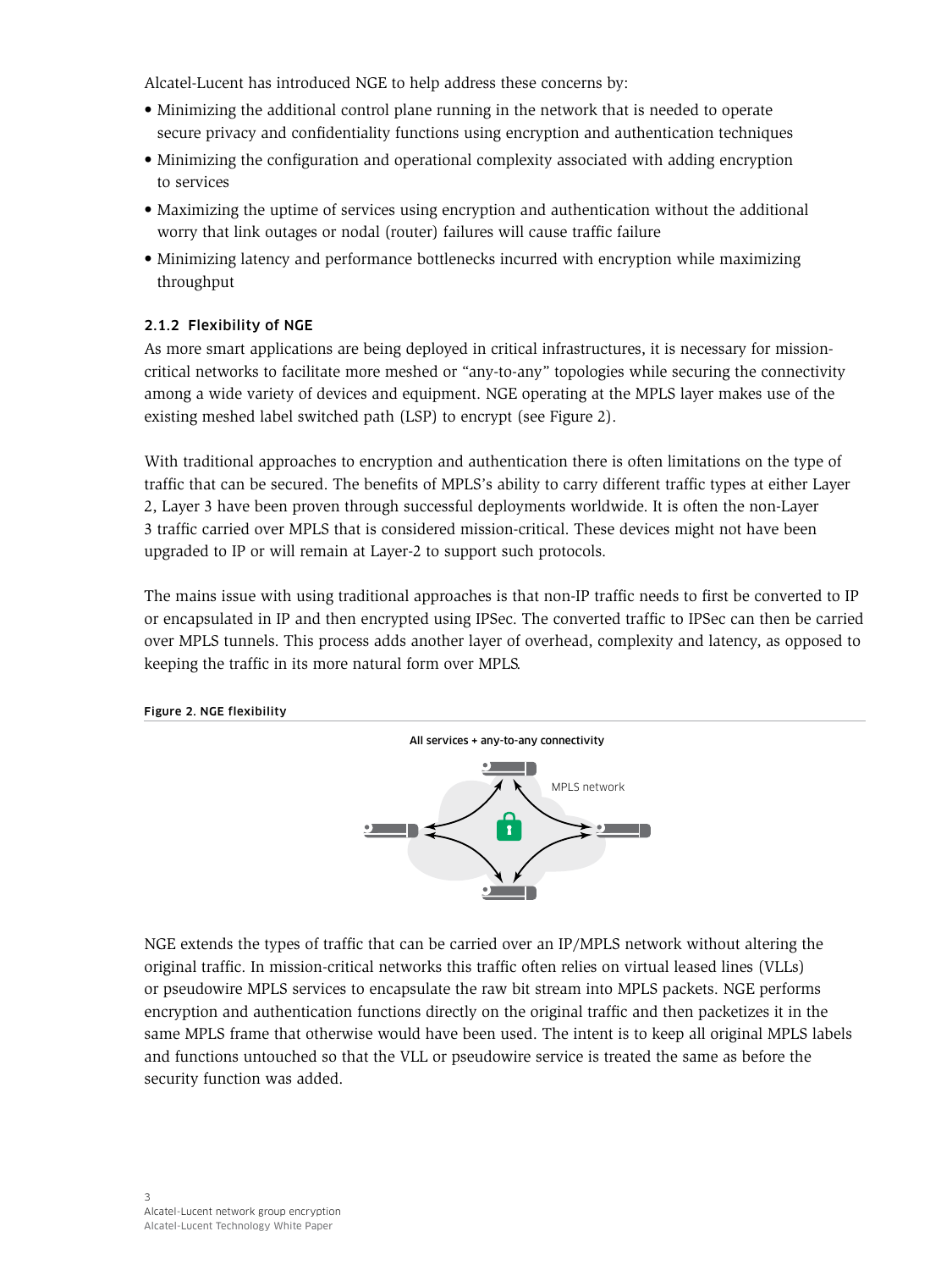Alcatel-Lucent has introduced NGE to help address these concerns by:

- Minimizing the additional control plane running in the network that is needed to operate secure privacy and confidentiality functions using encryption and authentication techniques
- Minimizing the configuration and operational complexity associated with adding encryption to services
- Maximizing the uptime of services using encryption and authentication without the additional worry that link outages or nodal (router) failures will cause traffic failure
- Minimizing latency and performance bottlenecks incurred with encryption while maximizing throughput

### 2.1.2 Flexibility of NGE

As more smart applications are being deployed in critical infrastructures, it is necessary for missioncritical networks to facilitate more meshed or "any-to-any" topologies while securing the connectivity among a wide variety of devices and equipment. NGE operating at the MPLS layer makes use of the existing meshed label switched path (LSP) to encrypt (see Figure 2).

With traditional approaches to encryption and authentication there is often limitations on the type of traffic that can be secured. The benefits of MPLS's ability to carry different traffic types at either Layer 2, Layer 3 have been proven through successful deployments worldwide. It is often the non-Layer 3 traffic carried over MPLS that is considered mission-critical. These devices might not have been upgraded to IP or will remain at Layer-2 to support such protocols.

The mains issue with using traditional approaches is that non-IP traffic needs to first be converted to IP or encapsulated in IP and then encrypted using IPSec. The converted traffic to IPSec can then be carried over MPLS tunnels. This process adds another layer of overhead, complexity and latency, as opposed to keeping the traffic in its more natural form over MPLS.



NGE extends the types of traffic that can be carried over an IP/MPLS network without altering the original traffic. In mission-critical networks this traffic often relies on virtual leased lines (VLLs) or pseudowire MPLS services to encapsulate the raw bit stream into MPLS packets. NGE performs encryption and authentication functions directly on the original traffic and then packetizes it in the same MPLS frame that otherwise would have been used. The intent is to keep all original MPLS labels and functions untouched so that the VLL or pseudowire service is treated the same as before the security function was added.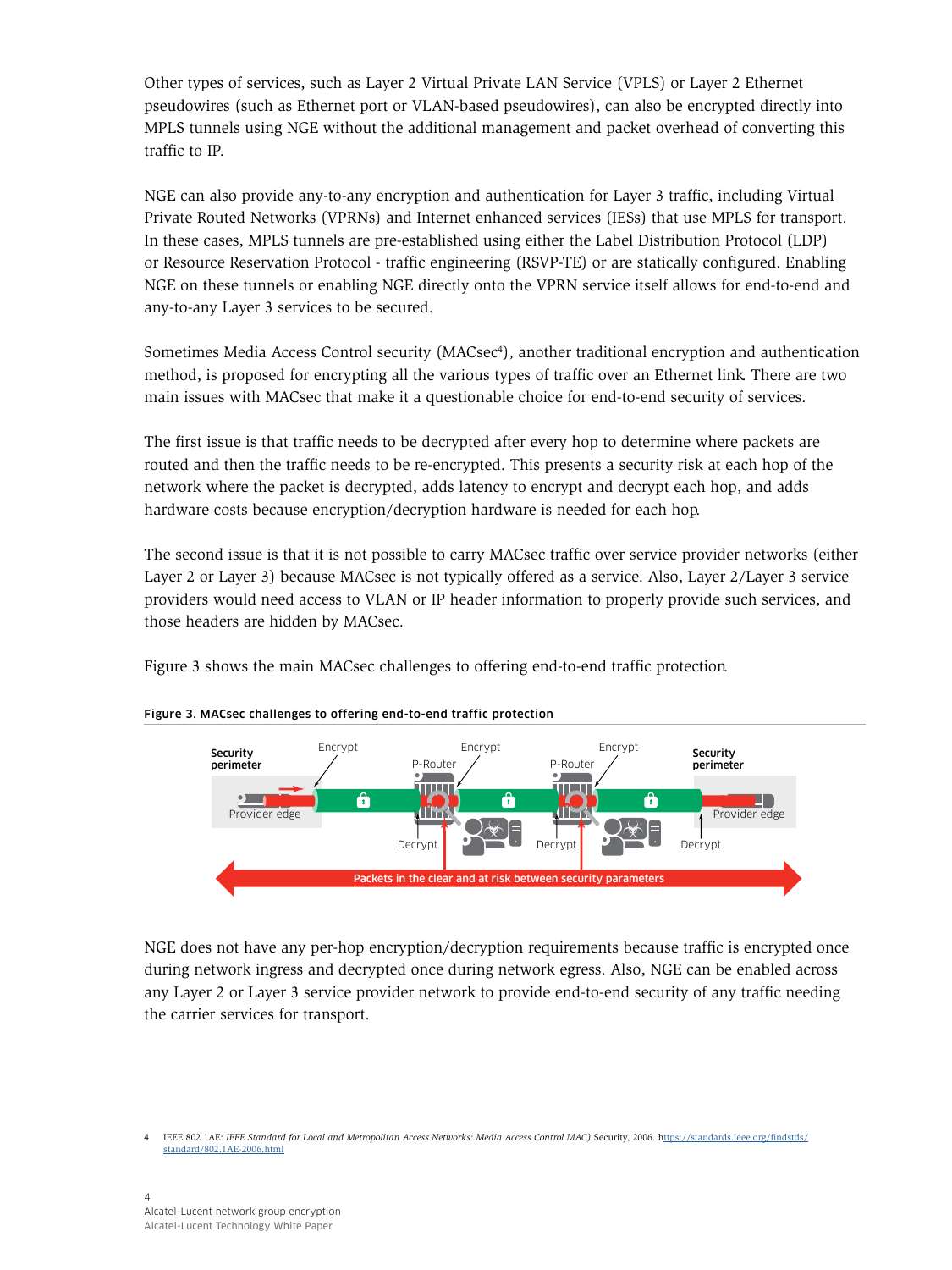Other types of services, such as Layer 2 Virtual Private LAN Service (VPLS) or Layer 2 Ethernet pseudowires (such as Ethernet port or VLAN-based pseudowires), can also be encrypted directly into MPLS tunnels using NGE without the additional management and packet overhead of converting this traffic to IP.

NGE can also provide any-to-any encryption and authentication for Layer 3 traffic, including Virtual Private Routed Networks (VPRNs) and Internet enhanced services (IESs) that use MPLS for transport. In these cases, MPLS tunnels are pre-established using either the Label Distribution Protocol (LDP) or Resource Reservation Protocol - traffic engineering (RSVP-TE) or are statically configured. Enabling NGE on these tunnels or enabling NGE directly onto the VPRN service itself allows for end-to-end and any-to-any Layer 3 services to be secured.

Sometimes Media Access Control security (MACsec<sup>4</sup>), another traditional encryption and authentication method, is proposed for encrypting all the various types of traffic over an Ethernet link. There are two main issues with MACsec that make it a questionable choice for end-to-end security of services.

The first issue is that traffic needs to be decrypted after every hop to determine where packets are routed and then the traffic needs to be re-encrypted. This presents a security risk at each hop of the network where the packet is decrypted, adds latency to encrypt and decrypt each hop, and adds hardware costs because encryption/decryption hardware is needed for each hop.

The second issue is that it is not possible to carry MACsec traffic over service provider networks (either Layer 2 or Layer 3) because MACsec is not typically offered as a service. Also, Layer 2/Layer 3 service providers would need access to VLAN or IP header information to properly provide such services, and those headers are hidden by MACsec.

Figure 3 shows the main MACsec challenges to offering end-to-end traffic protection.



Figure 3. MACsec challenges to offering end-to-end traffic protection

NGE does not have any per-hop encryption/decryption requirements because traffic is encrypted once during network ingress and decrypted once during network egress. Also, NGE can be enabled across any Layer 2 or Layer 3 service provider network to provide end-to-end security of any traffic needing the carrier services for transport.

<sup>4</sup> IEEE 802.1AE: *IEEE Standard for Local and Metropolitan Access Networks: Media Access Control MAC)* Security, 2006. [https://standards.ieee.org/findstds/](ttps://standards.ieee.org/findstds/standard/802.1AE-2006.html) [standard/802.1AE-2006.html](ttps://standards.ieee.org/findstds/standard/802.1AE-2006.html)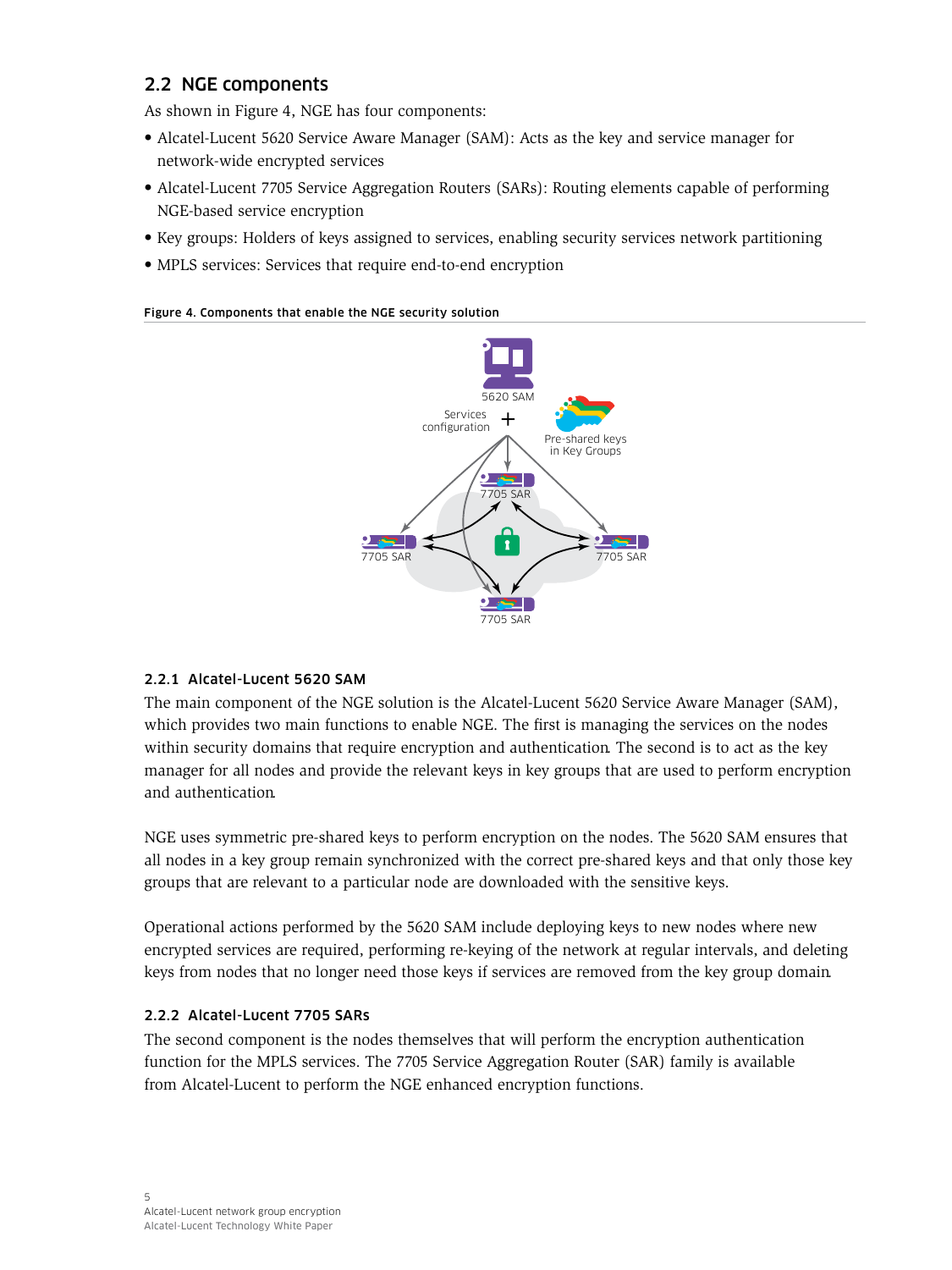## <span id="page-6-0"></span>2.2 NGE components

As shown in Figure 4, NGE has four components:

- Alcatel-Lucent 5620 Service Aware Manager (SAM): Acts as the key and service manager for network-wide encrypted services
- Alcatel-Lucent 7705 Service Aggregation Routers (SARs): Routing elements capable of performing NGE-based service encryption
- Key groups: Holders of keys assigned to services, enabling security services network partitioning
- MPLS services: Services that require end-to-end encryption

### Figure 4. Components that enable the NGE security solution



### 2.2.1 Alcatel-Lucent 5620 SAM

The main component of the NGE solution is the Alcatel-Lucent 5620 Service Aware Manager (SAM), which provides two main functions to enable NGE. The first is managing the services on the nodes within security domains that require encryption and authentication. The second is to act as the key manager for all nodes and provide the relevant keys in key groups that are used to perform encryption and authentication.

NGE uses symmetric pre-shared keys to perform encryption on the nodes. The 5620 SAM ensures that all nodes in a key group remain synchronized with the correct pre-shared keys and that only those key groups that are relevant to a particular node are downloaded with the sensitive keys.

Operational actions performed by the 5620 SAM include deploying keys to new nodes where new encrypted services are required, performing re-keying of the network at regular intervals, and deleting keys from nodes that no longer need those keys if services are removed from the key group domain.

### 2.2.2 Alcatel-Lucent 7705 SARs

The second component is the nodes themselves that will perform the encryption authentication function for the MPLS services. The 7705 Service Aggregation Router (SAR) family is available from Alcatel-Lucent to perform the NGE enhanced encryption functions.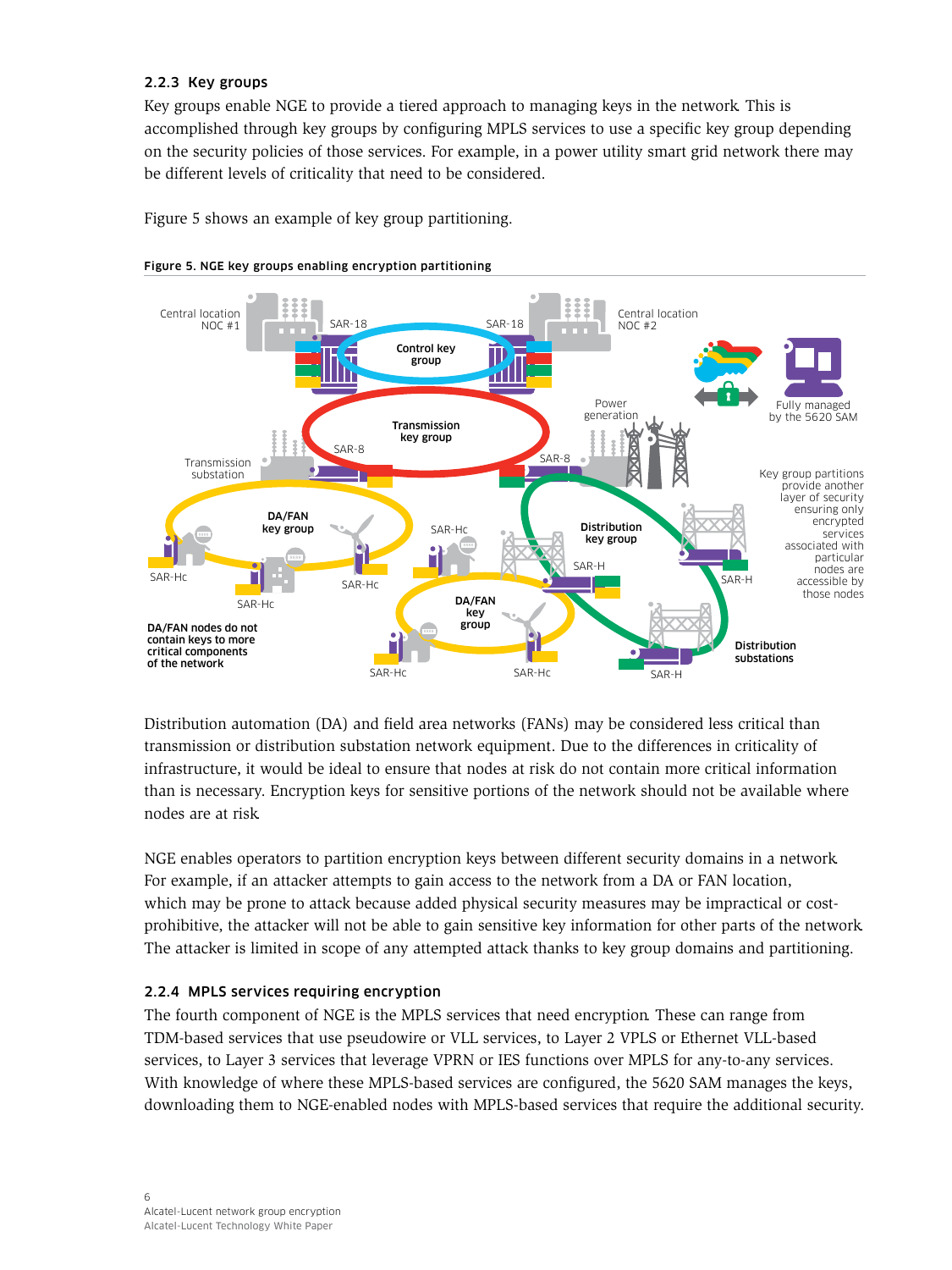### 2.2.3 Key groups

Key groups enable NGE to provide a tiered approach to managing keys in the network. This is accomplished through key groups by configuring MPLS services to use a specific key group depending on the security policies of those services. For example, in a power utility smart grid network there may be different levels of criticality that need to be considered.

Figure 5 shows an example of key group partitioning.





Distribution automation (DA) and field area networks (FANs) may be considered less critical than transmission or distribution substation network equipment. Due to the differences in criticality of infrastructure, it would be ideal to ensure that nodes at risk do not contain more critical information than is necessary. Encryption keys for sensitive portions of the network should not be available where nodes are at risk.

NGE enables operators to partition encryption keys between different security domains in a network. For example, if an attacker attempts to gain access to the network from a DA or FAN location, which may be prone to attack because added physical security measures may be impractical or costprohibitive, the attacker will not be able to gain sensitive key information for other parts of the network. The attacker is limited in scope of any attempted attack thanks to key group domains and partitioning.

### 2.2.4 MPLS services requiring encryption

The fourth component of NGE is the MPLS services that need encryption. These can range from TDM-based services that use pseudowire or VLL services, to Layer 2 VPLS or Ethernet VLL-based services, to Layer 3 services that leverage VPRN or IES functions over MPLS for any-to-any services. With knowledge of where these MPLS-based services are configured, the 5620 SAM manages the keys, downloading them to NGE-enabled nodes with MPLS-based services that require the additional security.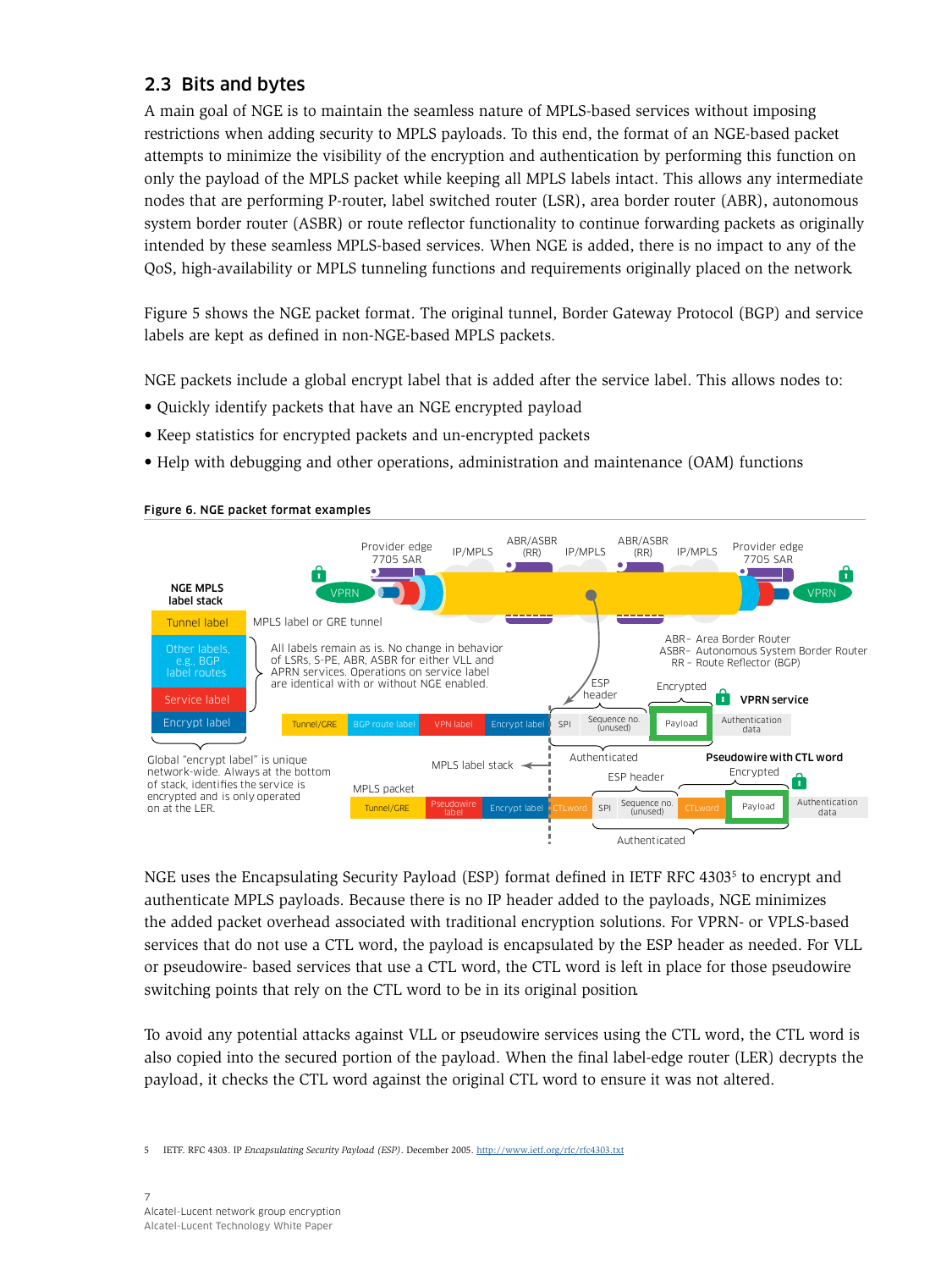## <span id="page-8-0"></span>2.3 Bits and bytes

Figure 6. NGE packet format examples

A main goal of NGE is to maintain the seamless nature of MPLS-based services without imposing restrictions when adding security to MPLS payloads. To this end, the format of an NGE-based packet attempts to minimize the visibility of the encryption and authentication by performing this function on only the payload of the MPLS packet while keeping all MPLS labels intact. This allows any intermediate nodes that are performing P-router, label switched router (LSR), area border router (ABR), autonomous system border router (ASBR) or route reflector functionality to continue forwarding packets as originally intended by these seamless MPLS-based services. When NGE is added, there is no impact to any of the QoS, high-availability or MPLS tunneling functions and requirements originally placed on the network.

Figure 5 shows the NGE packet format. The original tunnel, Border Gateway Protocol (BGP) and service labels are kept as defined in non-NGE-based MPLS packets.

NGE packets include a global encrypt label that is added after the service label. This allows nodes to:

- Quickly identify packets that have an NGE encrypted payload
- Keep statistics for encrypted packets and un-encrypted packets
- Help with debugging and other operations, administration and maintenance (OAM) functions

#### ABR/ASBR ABR/ASBR<br>(RR) Provider edge Provider edge IP/MPLS IP/MPLS (RR) IP/MPLS (RR) 7705 SAR 7705 SAR Ħ NGE MPLS VPRN VPRN label stack Tunnel label MPLS label or GRE tunnel ABR– Area Border Router Other labels, All labels remain as is. No change in behavior ASBR– Autonomous System Border Router of LSRs, S-PE, ABR, ASBR for either VLL and e.g., BGP label routes RR – Route Reflector (BGP) APRN services. Operations on service label ESP Encrypted are identical with or without NGE enabled. header Service label VPRN service  $\mathbf{r}$ Authentication Encrypt label <mark>Tunnel/GRE </mark>BGP route label **VPN label Encrypt label SPI <sup>Sequence no.</sup> Payload** BGP route lab SPI data Authenticated Pseudowire with CTL word Global "encrypt label" is unique MPLS label stack network-wide. Always at the bottom Encrypted ESP header of stack, identifies the service is MPLS packet encrypted and is only operated Pseudowire Encrypt label CTLword SPI Sequence no. CTLword Payload Authentication on at the LER. Tunnel/GRE CTLword data Authenticated

NGE uses the Encapsulating Security Payload (ESP) format defined in IETF RFC 4303<sup>5</sup> to encrypt and authenticate MPLS payloads. Because there is no IP header added to the payloads, NGE minimizes the added packet overhead associated with traditional encryption solutions. For VPRN- or VPLS-based services that do not use a CTL word, the payload is encapsulated by the ESP header as needed. For VLL or pseudowire- based services that use a CTL word, the CTL word is left in place for those pseudowire switching points that rely on the CTL word to be in its original position.

To avoid any potential attacks against VLL or pseudowire services using the CTL word, the CTL word is also copied into the secured portion of the payload. When the final label-edge router (LER) decrypts the payload, it checks the CTL word against the original CTL word to ensure it was not altered.

5 IETF. RFC 4303. IP *Encapsulating Security Payload (ESP)*. December 2005.<http://www.ietf.org/rfc/rfc4303.txt>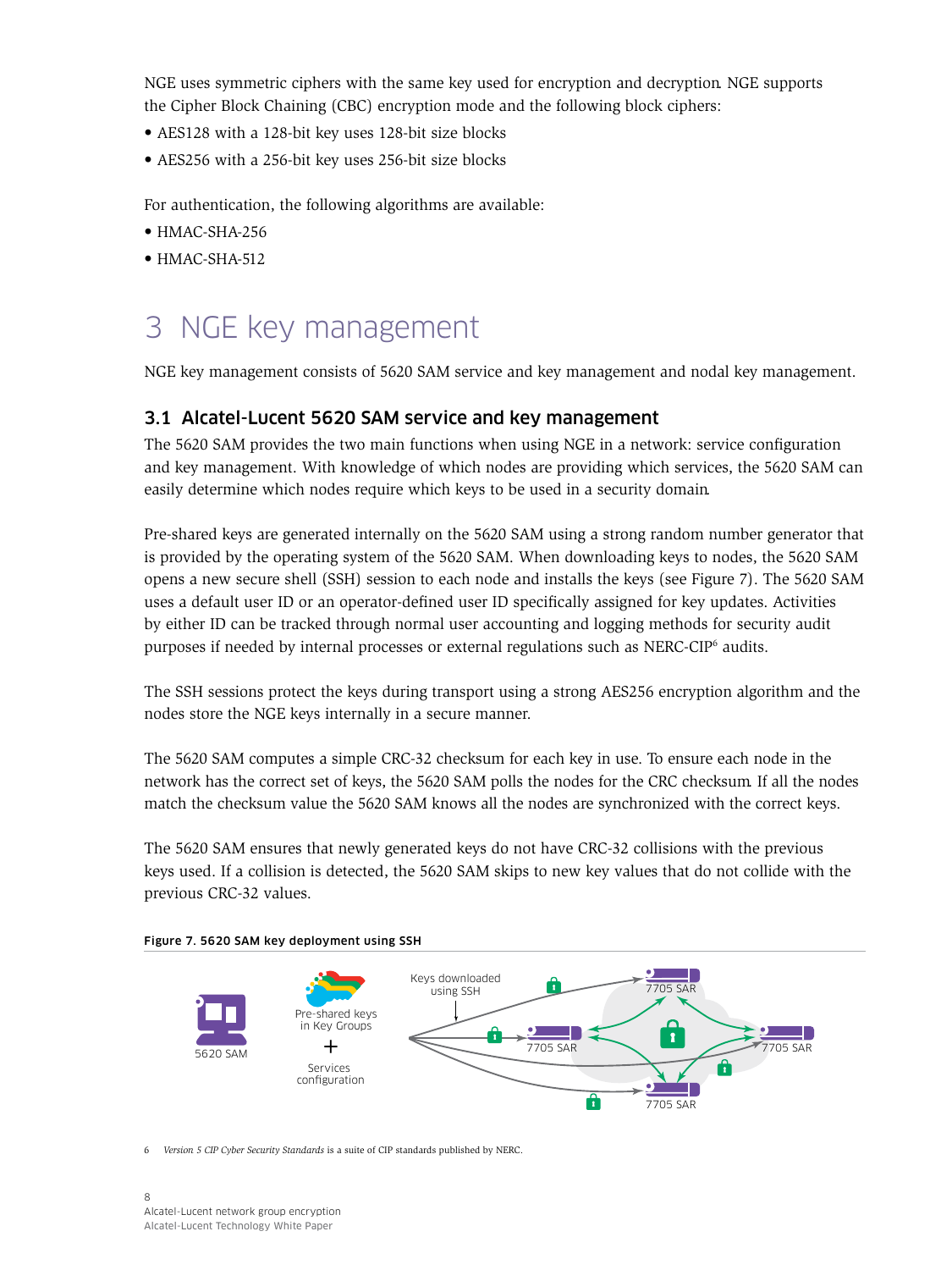<span id="page-9-0"></span>NGE uses symmetric ciphers with the same key used for encryption and decryption. NGE supports the Cipher Block Chaining (CBC) encryption mode and the following block ciphers:

- AES128 with a 128-bit key uses 128-bit size blocks
- AES256 with a 256-bit key uses 256-bit size blocks

For authentication, the following algorithms are available:

- HMAC-SHA-256
- HMAC-SHA-512

# 3 NGE key management

NGE key management consists of 5620 SAM service and key management and nodal key management.

### 3.1 Alcatel-Lucent 5620 SAM service and key management

The 5620 SAM provides the two main functions when using NGE in a network: service configuration and key management. With knowledge of which nodes are providing which services, the 5620 SAM can easily determine which nodes require which keys to be used in a security domain.

Pre-shared keys are generated internally on the 5620 SAM using a strong random number generator that is provided by the operating system of the 5620 SAM. When downloading keys to nodes, the 5620 SAM opens a new secure shell (SSH) session to each node and installs the keys (see Figure 7). The 5620 SAM uses a default user ID or an operator-defined user ID specifically assigned for key updates. Activities by either ID can be tracked through normal user accounting and logging methods for security audit purposes if needed by internal processes or external regulations such as NERC-CIP<sup>6</sup> audits.

The SSH sessions protect the keys during transport using a strong AES256 encryption algorithm and the nodes store the NGE keys internally in a secure manner.

The 5620 SAM computes a simple CRC-32 checksum for each key in use. To ensure each node in the network has the correct set of keys, the 5620 SAM polls the nodes for the CRC checksum. If all the nodes match the checksum value the 5620 SAM knows all the nodes are synchronized with the correct keys.

The 5620 SAM ensures that newly generated keys do not have CRC-32 collisions with the previous keys used. If a collision is detected, the 5620 SAM skips to new key values that do not collide with the previous CRC-32 values.



### Figure 7. 5620 SAM key deployment using SSH

6 *Version 5 CIP Cyber Security Standards* is a suite of CIP standards published by NERC.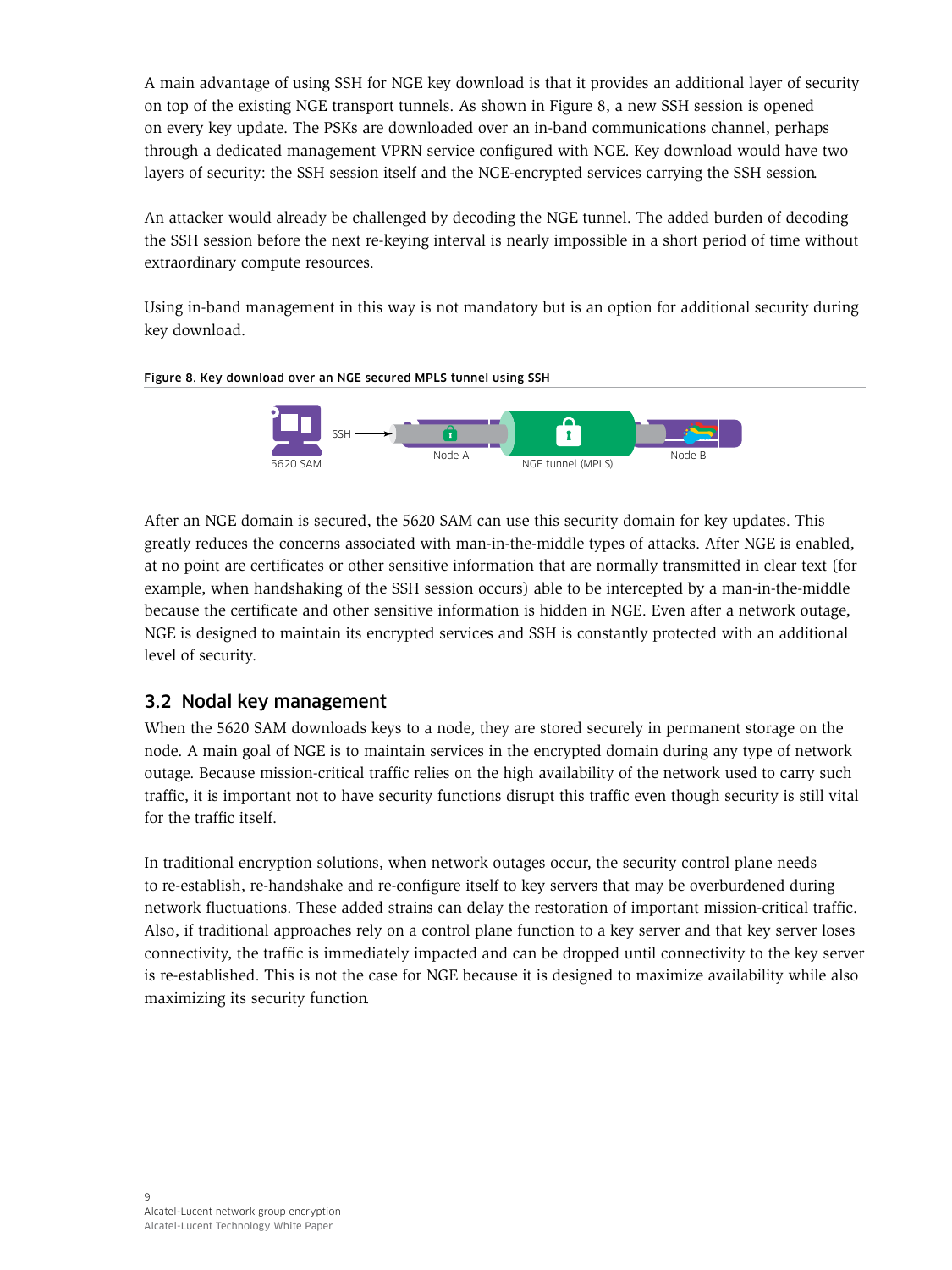<span id="page-10-0"></span>A main advantage of using SSH for NGE key download is that it provides an additional layer of security on top of the existing NGE transport tunnels. As shown in Figure 8, a new SSH session is opened on every key update. The PSKs are downloaded over an in-band communications channel, perhaps through a dedicated management VPRN service configured with NGE. Key download would have two layers of security: the SSH session itself and the NGE-encrypted services carrying the SSH session.

An attacker would already be challenged by decoding the NGE tunnel. The added burden of decoding the SSH session before the next re-keying interval is nearly impossible in a short period of time without extraordinary compute resources.

Using in-band management in this way is not mandatory but is an option for additional security during key download.



After an NGE domain is secured, the 5620 SAM can use this security domain for key updates. This greatly reduces the concerns associated with man-in-the-middle types of attacks. After NGE is enabled, at no point are certificates or other sensitive information that are normally transmitted in clear text (for example, when handshaking of the SSH session occurs) able to be intercepted by a man-in-the-middle because the certificate and other sensitive information is hidden in NGE. Even after a network outage, NGE is designed to maintain its encrypted services and SSH is constantly protected with an additional level of security.

## 3.2 Nodal key management

When the 5620 SAM downloads keys to a node, they are stored securely in permanent storage on the node. A main goal of NGE is to maintain services in the encrypted domain during any type of network outage. Because mission-critical traffic relies on the high availability of the network used to carry such traffic, it is important not to have security functions disrupt this traffic even though security is still vital for the traffic itself.

In traditional encryption solutions, when network outages occur, the security control plane needs to re-establish, re-handshake and re-configure itself to key servers that may be overburdened during network fluctuations. These added strains can delay the restoration of important mission-critical traffic. Also, if traditional approaches rely on a control plane function to a key server and that key server loses connectivity, the traffic is immediately impacted and can be dropped until connectivity to the key server is re-established. This is not the case for NGE because it is designed to maximize availability while also maximizing its security function.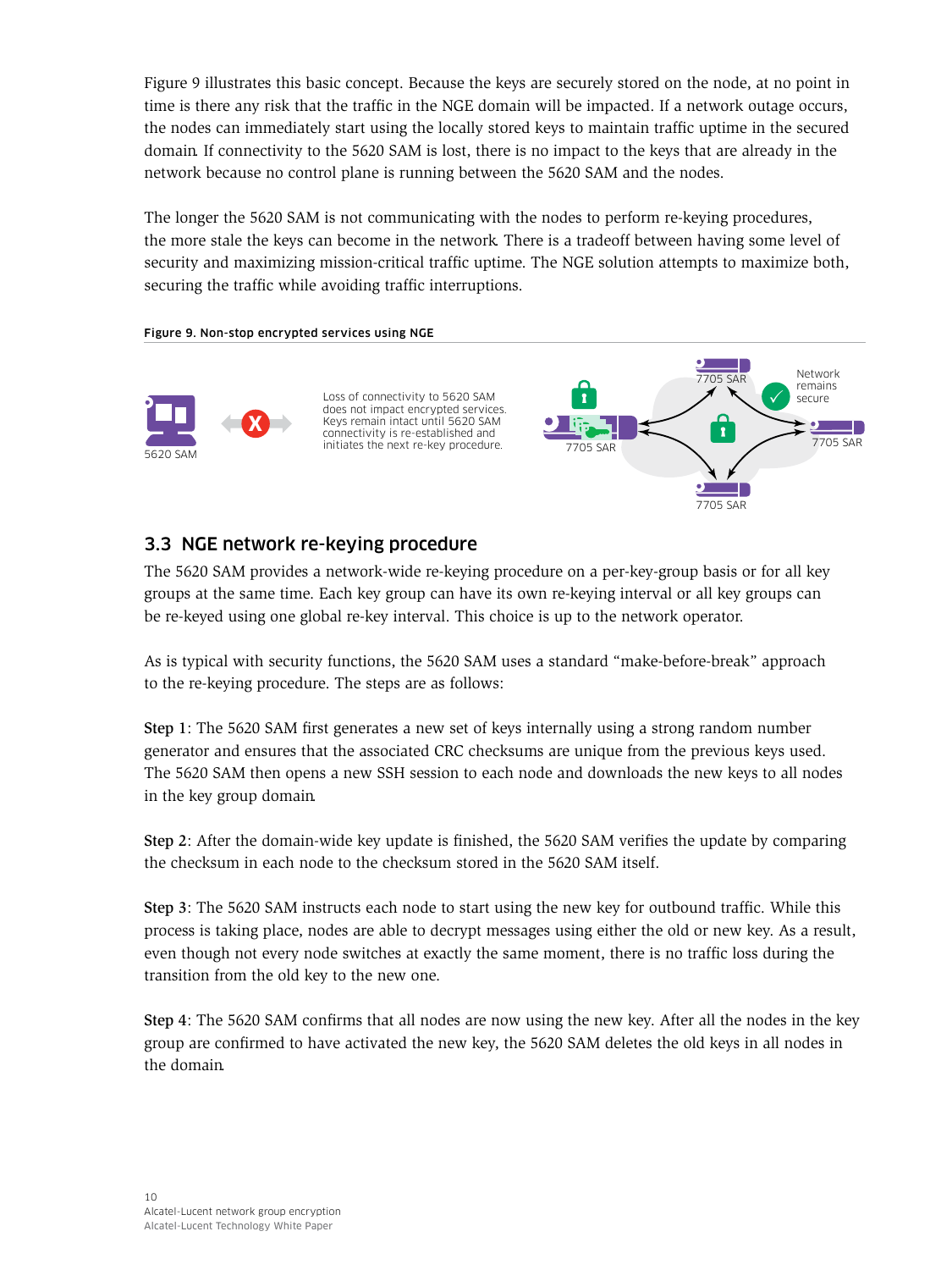<span id="page-11-0"></span>Figure 9 illustrates this basic concept. Because the keys are securely stored on the node, at no point in time is there any risk that the traffic in the NGE domain will be impacted. If a network outage occurs, the nodes can immediately start using the locally stored keys to maintain traffic uptime in the secured domain. If connectivity to the 5620 SAM is lost, there is no impact to the keys that are already in the network because no control plane is running between the 5620 SAM and the nodes.

The longer the 5620 SAM is not communicating with the nodes to perform re-keying procedures, the more stale the keys can become in the network. There is a tradeoff between having some level of security and maximizing mission-critical traffic uptime. The NGE solution attempts to maximize both, securing the traffic while avoiding traffic interruptions.

### Figure 9. Non-stop encrypted services using NGE



## 3.3 NGE network re-keying procedure

The 5620 SAM provides a network-wide re-keying procedure on a per-key-group basis or for all key groups at the same time. Each key group can have its own re-keying interval or all key groups can be re-keyed using one global re-key interval. This choice is up to the network operator.

As is typical with security functions, the 5620 SAM uses a standard "make-before-break" approach to the re-keying procedure. The steps are as follows:

Step 1: The 5620 SAM first generates a new set of keys internally using a strong random number generator and ensures that the associated CRC checksums are unique from the previous keys used. The 5620 SAM then opens a new SSH session to each node and downloads the new keys to all nodes in the key group domain.

Step 2: After the domain-wide key update is finished, the 5620 SAM verifies the update by comparing the checksum in each node to the checksum stored in the 5620 SAM itself.

Step 3: The 5620 SAM instructs each node to start using the new key for outbound traffic. While this process is taking place, nodes are able to decrypt messages using either the old or new key. As a result, even though not every node switches at exactly the same moment, there is no traffic loss during the transition from the old key to the new one.

Step 4: The 5620 SAM confirms that all nodes are now using the new key. After all the nodes in the key group are confirmed to have activated the new key, the 5620 SAM deletes the old keys in all nodes in the domain.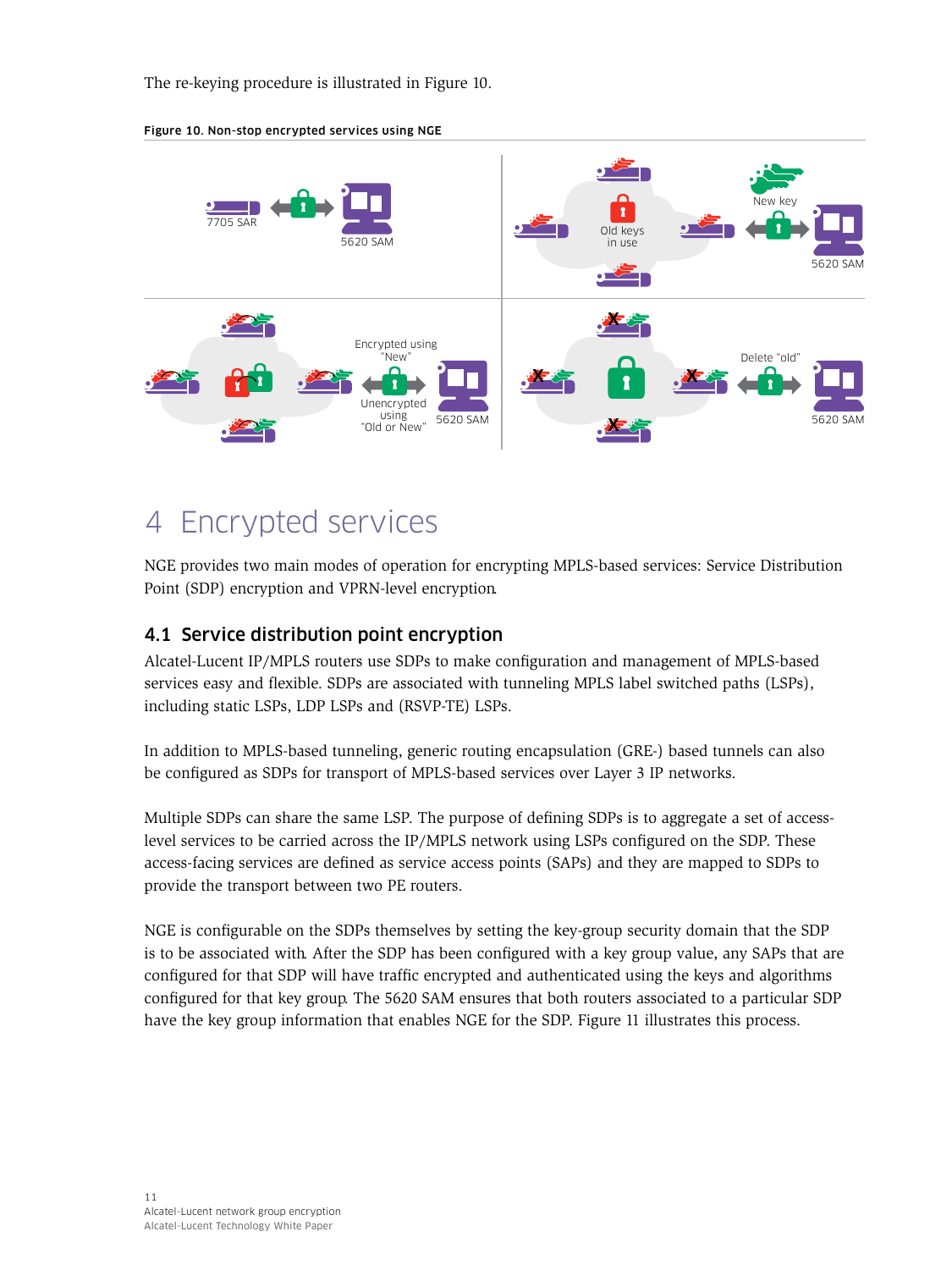<span id="page-12-0"></span>The re-keying procedure is illustrated in Figure 10.



Figure 10. Non-stop encrypted services using NGE

## 4 Encrypted services

NGE provides two main modes of operation for encrypting MPLS-based services: Service Distribution Point (SDP) encryption and VPRN-level encryption.

## 4.1 Service distribution point encryption

Alcatel-Lucent IP/MPLS routers use SDPs to make configuration and management of MPLS-based services easy and flexible. SDPs are associated with tunneling MPLS label switched paths (LSPs), including static LSPs, LDP LSPs and (RSVP-TE) LSPs.

In addition to MPLS-based tunneling, generic routing encapsulation (GRE-) based tunnels can also be configured as SDPs for transport of MPLS-based services over Layer 3 IP networks.

Multiple SDPs can share the same LSP. The purpose of defining SDPs is to aggregate a set of accesslevel services to be carried across the IP/MPLS network using LSPs configured on the SDP. These access-facing services are defined as service access points (SAPs) and they are mapped to SDPs to provide the transport between two PE routers.

NGE is configurable on the SDPs themselves by setting the key-group security domain that the SDP is to be associated with. After the SDP has been configured with a key group value, any SAPs that are configured for that SDP will have traffic encrypted and authenticated using the keys and algorithms configured for that key group. The 5620 SAM ensures that both routers associated to a particular SDP have the key group information that enables NGE for the SDP. Figure 11 illustrates this process.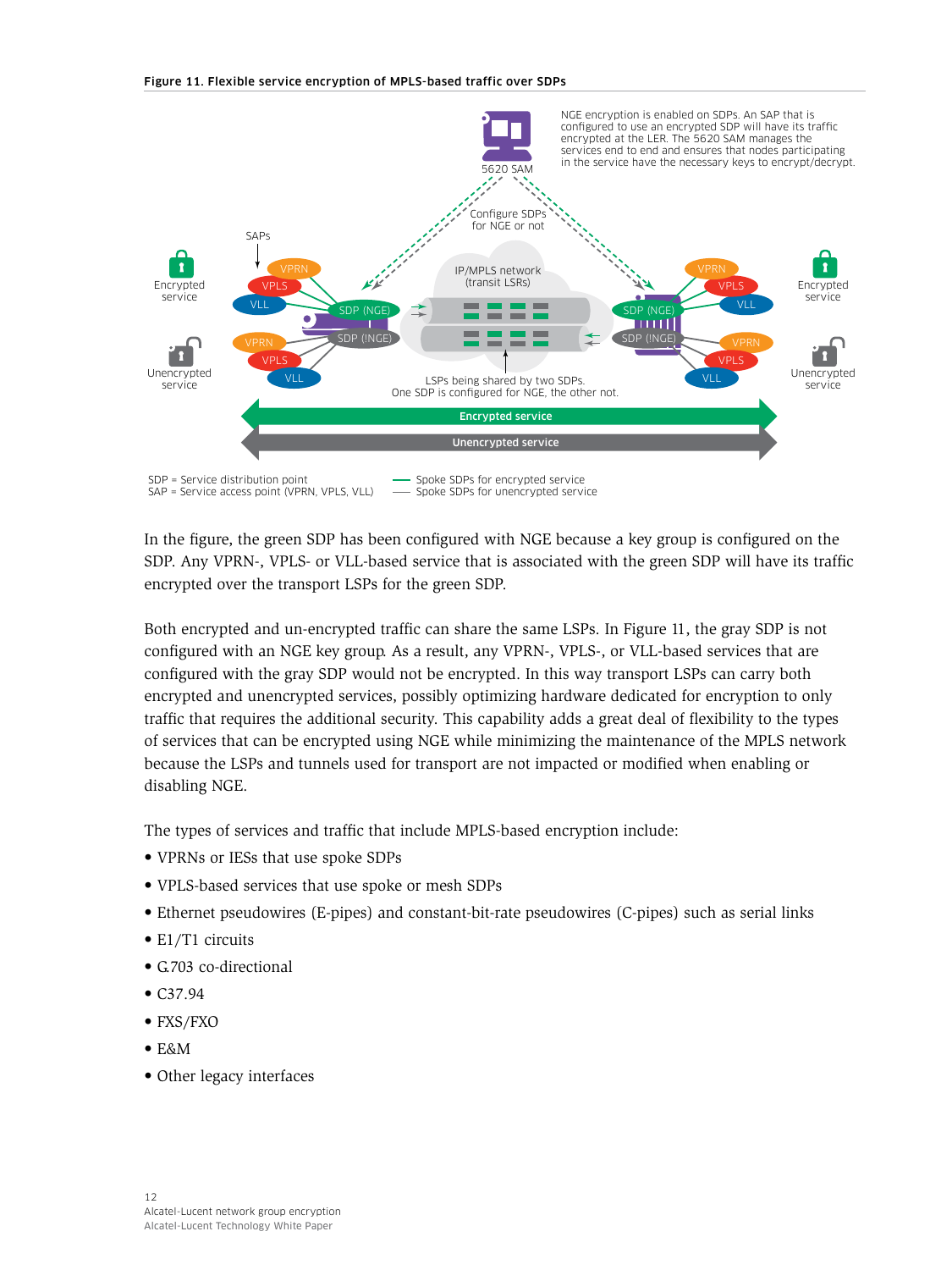

In the figure, the green SDP has been configured with NGE because a key group is configured on the SDP. Any VPRN-, VPLS- or VLL-based service that is associated with the green SDP will have its traffic encrypted over the transport LSPs for the green SDP.

Both encrypted and un-encrypted traffic can share the same LSPs. In Figure 11, the gray SDP is not configured with an NGE key group. As a result, any VPRN-, VPLS-, or VLL-based services that are configured with the gray SDP would not be encrypted. In this way transport LSPs can carry both encrypted and unencrypted services, possibly optimizing hardware dedicated for encryption to only traffic that requires the additional security. This capability adds a great deal of flexibility to the types of services that can be encrypted using NGE while minimizing the maintenance of the MPLS network because the LSPs and tunnels used for transport are not impacted or modified when enabling or disabling NGE.

The types of services and traffic that include MPLS-based encryption include:

- VPRNs or IESs that use spoke SDPs
- VPLS-based services that use spoke or mesh SDPs
- Ethernet pseudowires (E-pipes) and constant-bit-rate pseudowires (C-pipes) such as serial links
- E1/T1 circuits
- G.703 co-directional
- C37.94
- FXS/FXO
- E&M
- Other legacy interfaces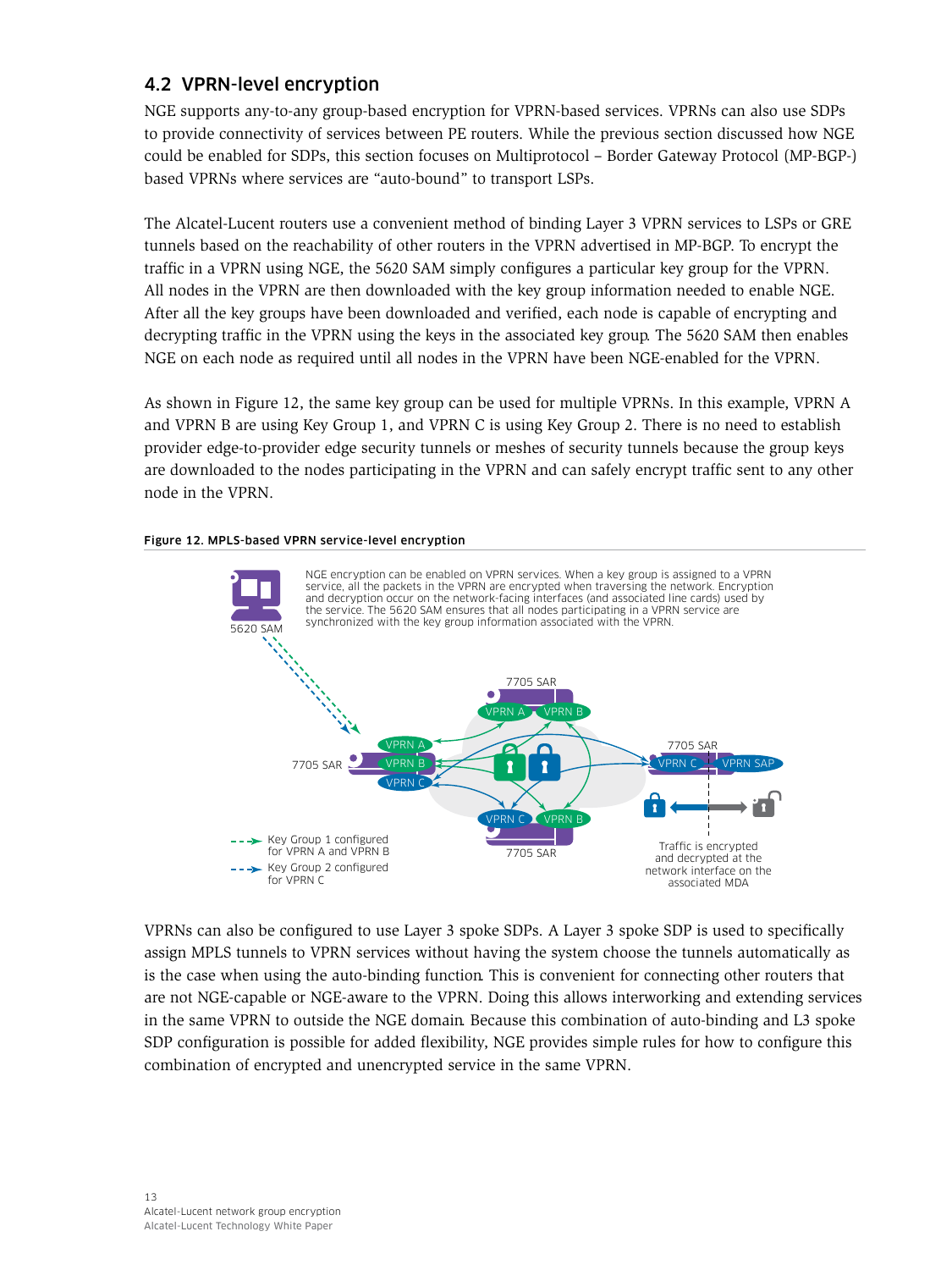## <span id="page-14-0"></span>4.2 VPRN-level encryption

NGE supports any-to-any group-based encryption for VPRN-based services. VPRNs can also use SDPs to provide connectivity of services between PE routers. While the previous section discussed how NGE could be enabled for SDPs, this section focuses on Multiprotocol – Border Gateway Protocol (MP-BGP-) based VPRNs where services are "auto-bound" to transport LSPs.

The Alcatel-Lucent routers use a convenient method of binding Layer 3 VPRN services to LSPs or GRE tunnels based on the reachability of other routers in the VPRN advertised in MP-BGP. To encrypt the traffic in a VPRN using NGE, the 5620 SAM simply configures a particular key group for the VPRN. All nodes in the VPRN are then downloaded with the key group information needed to enable NGE. After all the key groups have been downloaded and verified, each node is capable of encrypting and decrypting traffic in the VPRN using the keys in the associated key group. The 5620 SAM then enables NGE on each node as required until all nodes in the VPRN have been NGE-enabled for the VPRN.

As shown in Figure 12, the same key group can be used for multiple VPRNs. In this example, VPRN A and VPRN B are using Key Group 1, and VPRN C is using Key Group 2. There is no need to establish provider edge-to-provider edge security tunnels or meshes of security tunnels because the group keys are downloaded to the nodes participating in the VPRN and can safely encrypt traffic sent to any other node in the VPRN.





VPRNs can also be configured to use Layer 3 spoke SDPs. A Layer 3 spoke SDP is used to specifically assign MPLS tunnels to VPRN services without having the system choose the tunnels automatically as is the case when using the auto-binding function. This is convenient for connecting other routers that are not NGE-capable or NGE-aware to the VPRN. Doing this allows interworking and extending services in the same VPRN to outside the NGE domain. Because this combination of auto-binding and L3 spoke SDP configuration is possible for added flexibility, NGE provides simple rules for how to configure this combination of encrypted and unencrypted service in the same VPRN.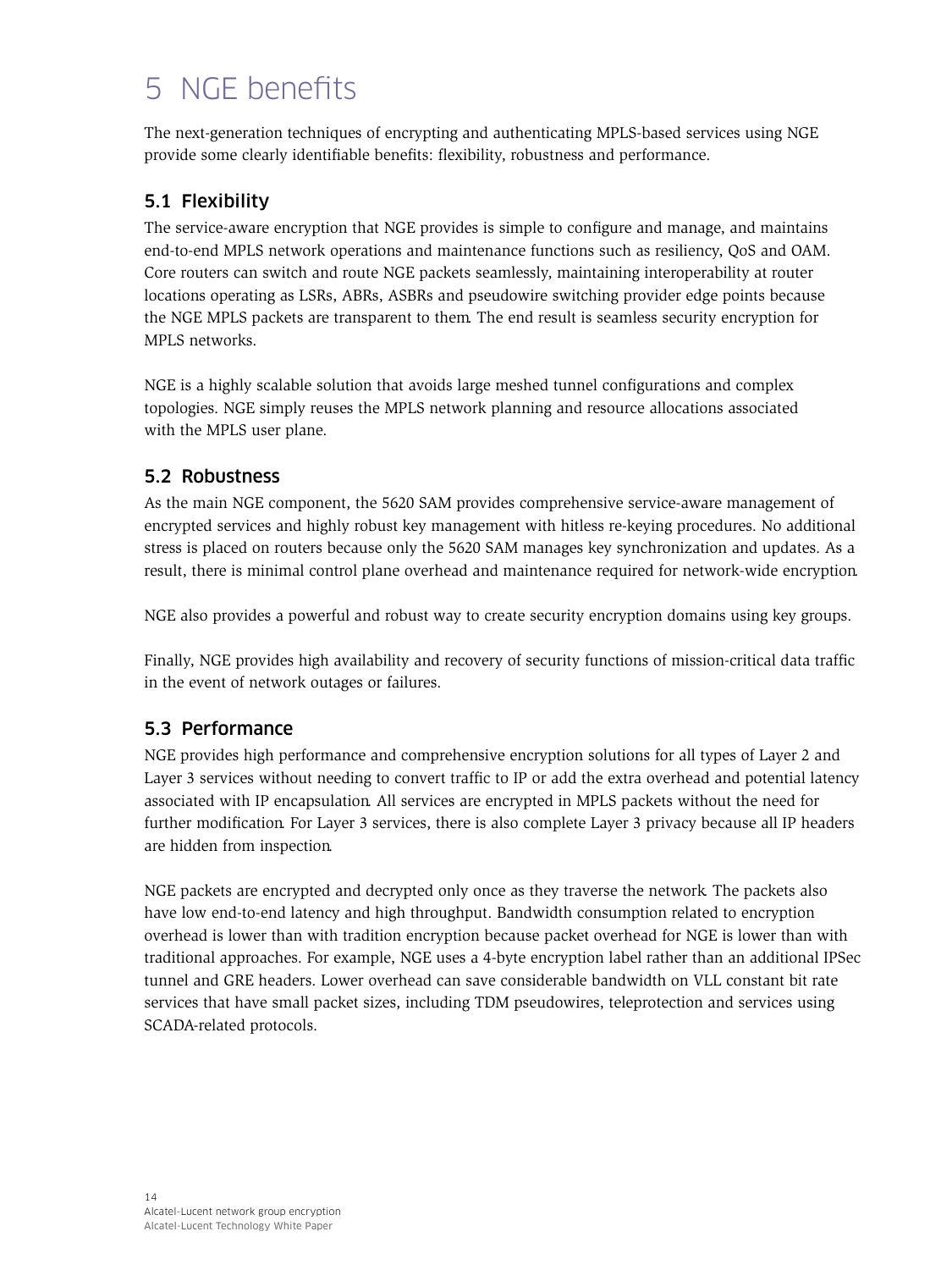# <span id="page-15-0"></span>5 NGE benefits

The next-generation techniques of encrypting and authenticating MPLS-based services using NGE provide some clearly identifiable benefits: flexibility, robustness and performance.

## 5.1 Flexibility

The service-aware encryption that NGE provides is simple to configure and manage, and maintains end-to-end MPLS network operations and maintenance functions such as resiliency, QoS and OAM. Core routers can switch and route NGE packets seamlessly, maintaining interoperability at router locations operating as LSRs, ABRs, ASBRs and pseudowire switching provider edge points because the NGE MPLS packets are transparent to them. The end result is seamless security encryption for MPLS networks.

NGE is a highly scalable solution that avoids large meshed tunnel configurations and complex topologies. NGE simply reuses the MPLS network planning and resource allocations associated with the MPLS user plane.

## 5.2 Robustness

As the main NGE component, the 5620 SAM provides comprehensive service-aware management of encrypted services and highly robust key management with hitless re-keying procedures. No additional stress is placed on routers because only the 5620 SAM manages key synchronization and updates. As a result, there is minimal control plane overhead and maintenance required for network-wide encryption.

NGE also provides a powerful and robust way to create security encryption domains using key groups.

Finally, NGE provides high availability and recovery of security functions of mission-critical data traffic in the event of network outages or failures.

## 5.3 Performance

NGE provides high performance and comprehensive encryption solutions for all types of Layer 2 and Layer 3 services without needing to convert traffic to IP or add the extra overhead and potential latency associated with IP encapsulation. All services are encrypted in MPLS packets without the need for further modification. For Layer 3 services, there is also complete Layer 3 privacy because all IP headers are hidden from inspection.

NGE packets are encrypted and decrypted only once as they traverse the network. The packets also have low end-to-end latency and high throughput. Bandwidth consumption related to encryption overhead is lower than with tradition encryption because packet overhead for NGE is lower than with traditional approaches. For example, NGE uses a 4-byte encryption label rather than an additional IPSec tunnel and GRE headers. Lower overhead can save considerable bandwidth on VLL constant bit rate services that have small packet sizes, including TDM pseudowires, teleprotection and services using SCADA-related protocols.